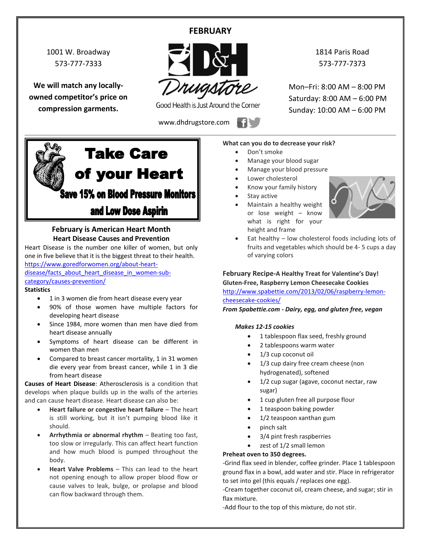# **FEBRUARY**

1001 W. Broadway 573-777-7333

**We will match any locallyowned competitor's price on compression garments.**



Good Health is Just Around the Corner

www.dhdrugstore.com

1814 Paris Road 573-777-7373

Mon–Fri: 8:00 AM – 8:00 PM Saturday: 8:00 AM – 6:00 PM Sunday: 10:00 AM – 6:00 PM



# **February is American Heart Month Heart Disease Causes and Prevention**

Heart Disease is the number one killer of women, but only one in five believe that it is the biggest threat to their health. [https://www.goredforwomen.org/about-heart-](https://www.goredforwomen.org/about-heart-disease/facts_about_heart_disease_in_women-sub-category/causes-prevention/)

[disease/facts\\_about\\_heart\\_disease\\_in\\_women-sub](https://www.goredforwomen.org/about-heart-disease/facts_about_heart_disease_in_women-sub-category/causes-prevention/)[category/causes-prevention/](https://www.goredforwomen.org/about-heart-disease/facts_about_heart_disease_in_women-sub-category/causes-prevention/)

#### **Statistics**

- 1 in 3 women die from heart disease every year
- 90% of those women have multiple factors for developing heart disease
- Since 1984, more women than men have died from heart disease annually
- Symptoms of heart disease can be different in women than men
- Compared to breast cancer mortality, 1 in 31 women die every year from breast cancer, while 1 in 3 die from heart disease

**Causes of Heart Disease**: Atherosclerosis is a condition that develops when plaque builds up in the walls of the arteries and can cause heart disease. Heart disease can also be:

- **Heart failure or congestive heart failure** The heart is still working, but it isn't pumping blood like it should.
- **Arrhythmia or abnormal rhythm** Beating too fast, too slow or irregularly. This can affect heart function and how much blood is pumped throughout the body.
- **Heart Valve Problems** This can lead to the heart not opening enough to allow proper blood flow or cause valves to leak, bulge, or prolapse and blood can flow backward through them.

#### **What can you do to decrease your risk?**

- Don't smoke
- Manage your blood sugar
- Manage your blood pressure
- Lower cholesterol
- Know your family history
- Stay active
- Maintain a healthy weight or lose weight – know what is right for your height and frame



 Eat healthy – low cholesterol foods including lots of fruits and vegetables which should be 4- 5 cups a day of varying colors

### **February Recipe-A Healthy Treat for Valentine's Day!**

**Gluten-Free, Raspberry Lemon Cheesecake Cookies** [http://www.spabettie.com/2013/02/06/raspberry-lemon](http://www.spabettie.com/2013/02/06/raspberry-lemon-cheesecake-cookies/)[cheesecake-cookies/](http://www.spabettie.com/2013/02/06/raspberry-lemon-cheesecake-cookies/)

*From Spabettie.com - Dairy, egg, and gluten free, vegan*

#### *Makes 12-15 cookies*

- 1 tablespoon flax seed, freshly ground
- 2 tablespoons warm water
- 1/3 cup coconut oil
- 1/3 cup dairy free cream cheese (non hydrogenated), softened
- 1/2 cup sugar (agave, coconut nectar, raw sugar)
- 1 cup gluten free all purpose flour
- 1 teaspoon baking powder
- 1/2 teaspoon xanthan gum
- pinch salt
- 3/4 pint fresh raspberries
- zest of 1/2 small lemon

### **Preheat oven to 350 degrees.**

-Grind flax seed in blender, coffee grinder. Place 1 tablespoon ground flax in a bowl, add water and stir. Place in refrigerator to set into gel (this equals / replaces one egg).

-Cream together coconut oil, cream cheese, and sugar; stir in flax mixture.

-Add flour to the top of this mixture, do not stir.